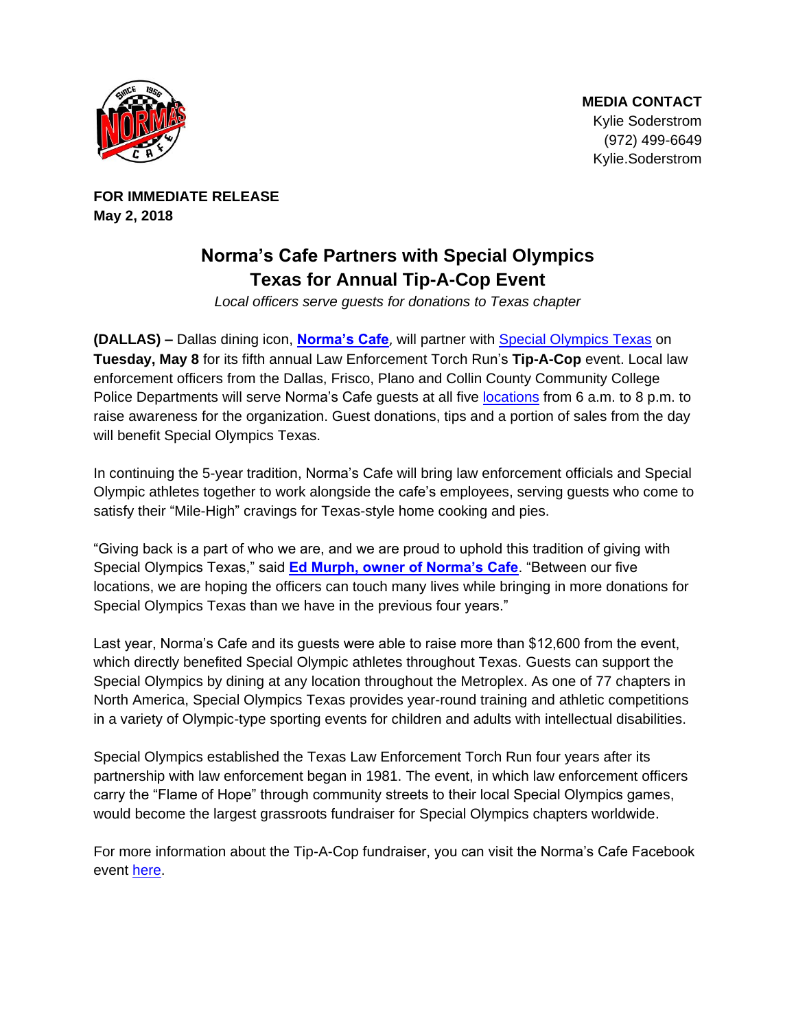

**FOR IMMEDIATE RELEASE May 2, 2018**

## **Norma's Cafe Partners with Special Olympics Texas for Annual Tip-A-Cop Event**

*Local officers serve guests for donations to Texas chapter* 

**(DALLAS) –** Dallas dining icon, **[Norma's Cafe](http://normascafe.com/)**, will partner with [Special Olympics Texas](http://www.specialolympicstexas.org/) on **Tuesday, May 8** for its fifth annual Law Enforcement Torch Run's **Tip-A-Cop** event. Local law enforcement officers from the Dallas, Frisco, Plano and Collin County Community College Police Departments will serve Norma's Cafe guests at all five [locations](http://normascafe.com/locations/) from 6 a.m. to 8 p.m. to raise awareness for the organization. Guest donations, tips and a portion of sales from the day will benefit Special Olympics Texas.

In continuing the 5-year tradition, Norma's Cafe will bring law enforcement officials and Special Olympic athletes together to work alongside the cafe's employees, serving guests who come to satisfy their "Mile-High" cravings for Texas-style home cooking and pies.

"Giving back is a part of who we are, and we are proud to uphold this tradition of giving with Special Olympics Texas," said **[Ed Murph, owner of Norma's Cafe](http://www.normascafe.com/about/)**. "Between our five locations, we are hoping the officers can touch many lives while bringing in more donations for Special Olympics Texas than we have in the previous four years."

Last year, Norma's Cafe and its guests were able to raise more than \$12,600 from the event, which directly benefited Special Olympic athletes throughout Texas. Guests can support the Special Olympics by dining at any location throughout the Metroplex. As one of 77 chapters in North America, Special Olympics Texas provides year-round training and athletic competitions in a variety of Olympic-type sporting events for children and adults with intellectual disabilities.

Special Olympics established the Texas Law Enforcement Torch Run four years after its partnership with law enforcement began in 1981. The event, in which law enforcement officers carry the "Flame of Hope" through community streets to their local Special Olympics games, would become the largest grassroots fundraiser for Special Olympics chapters worldwide.

For more information about the Tip-A-Cop fundraiser, you can visit the Norma's Cafe Facebook event [here.](https://www.facebook.com/events/363652517471335/)